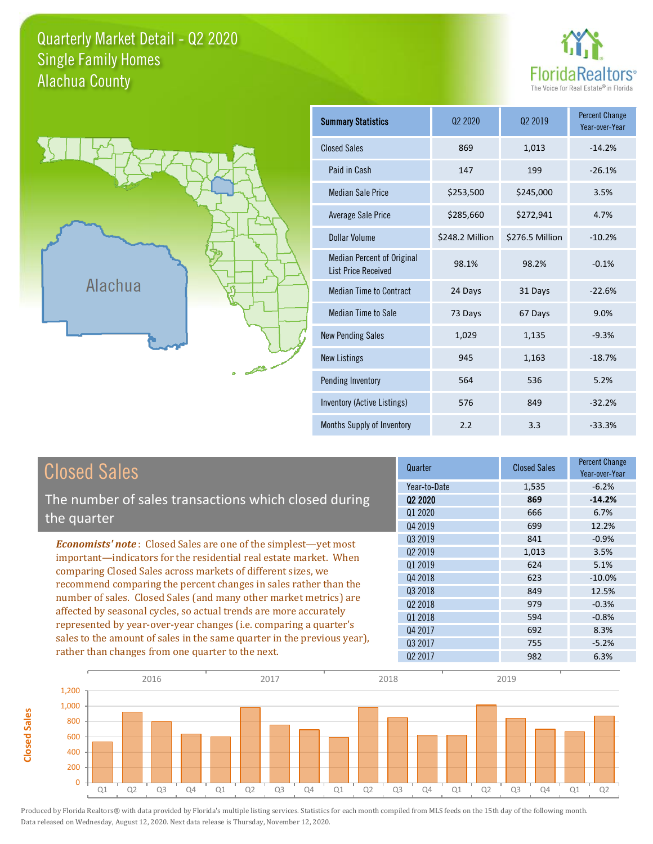### Quarterly Market Detail - Q2 2020 Alachua County Single Family Homes





**Closed Sales**

**Closed Sales** 

| <b>Summary Statistics</b>                                       | 02 2020         | 02 2019         | <b>Percent Change</b><br>Year-over-Year |
|-----------------------------------------------------------------|-----------------|-----------------|-----------------------------------------|
| <b>Closed Sales</b>                                             | 869             | 1,013           | $-14.2%$                                |
| Paid in Cash                                                    | 147             | 199             | $-26.1%$                                |
| <b>Median Sale Price</b>                                        | \$253,500       | \$245,000       | 3.5%                                    |
| Average Sale Price                                              | \$285,660       | \$272,941       | 4.7%                                    |
| Dollar Volume                                                   | \$248.2 Million | \$276.5 Million | $-10.2%$                                |
| <b>Median Percent of Original</b><br><b>List Price Received</b> | 98.1%           | 98.2%           | $-0.1%$                                 |
| <b>Median Time to Contract</b>                                  | 24 Days         | 31 Days         | $-22.6%$                                |
| Median Time to Sale                                             | 73 Days         | 67 Days         | 9.0%                                    |
| <b>New Pending Sales</b>                                        | 1,029           | 1,135           | $-9.3%$                                 |
| <b>New Listings</b>                                             | 945             | 1,163           | $-18.7%$                                |
| Pending Inventory                                               | 564             | 536             | 5.2%                                    |
| Inventory (Active Listings)                                     | 576             | 849             | $-32.2%$                                |
| Months Supply of Inventory                                      | 2.2             | 3.3             | $-33.3%$                                |

| <b>Closed Sales</b>                                                                                                              | Quarter             | <b>Closed Sales</b> | <b>Percent Change</b><br>Year-over-Year |
|----------------------------------------------------------------------------------------------------------------------------------|---------------------|---------------------|-----------------------------------------|
|                                                                                                                                  | Year-to-Date        | 1,535               | $-6.2%$                                 |
| The number of sales transactions which closed during                                                                             | Q <sub>2</sub> 2020 | 869                 | $-14.2%$                                |
| the quarter                                                                                                                      | Q1 2020             | 666                 | 6.7%                                    |
|                                                                                                                                  | 04 2019             | 699                 | 12.2%                                   |
| <b>Economists' note:</b> Closed Sales are one of the simplest-yet most                                                           | Q3 2019             | 841                 | $-0.9%$                                 |
| important—indicators for the residential real estate market. When                                                                | Q <sub>2</sub> 2019 | 1,013               | 3.5%                                    |
| comparing Closed Sales across markets of different sizes, we<br>recommend comparing the percent changes in sales rather than the | 01 2019             | 624                 | 5.1%                                    |
|                                                                                                                                  | Q4 2018             | 623                 | $-10.0\%$                               |
|                                                                                                                                  | Q3 2018             | 849                 | 12.5%                                   |
| number of sales. Closed Sales (and many other market metrics) are                                                                | 02 2018             | 979                 | $-0.3%$                                 |
| affected by seasonal cycles, so actual trends are more accurately                                                                | Q1 2018             | 594                 | $-0.8%$                                 |
| represented by year-over-year changes (i.e. comparing a quarter's                                                                | Q4 2017             | 692                 | 8.3%                                    |
| sales to the amount of sales in the same quarter in the previous year),                                                          | 03 2017             | 755                 | $-5.2%$                                 |
| rather than changes from one quarter to the next.                                                                                | Q <sub>2</sub> 2017 | 982                 | 6.3%                                    |

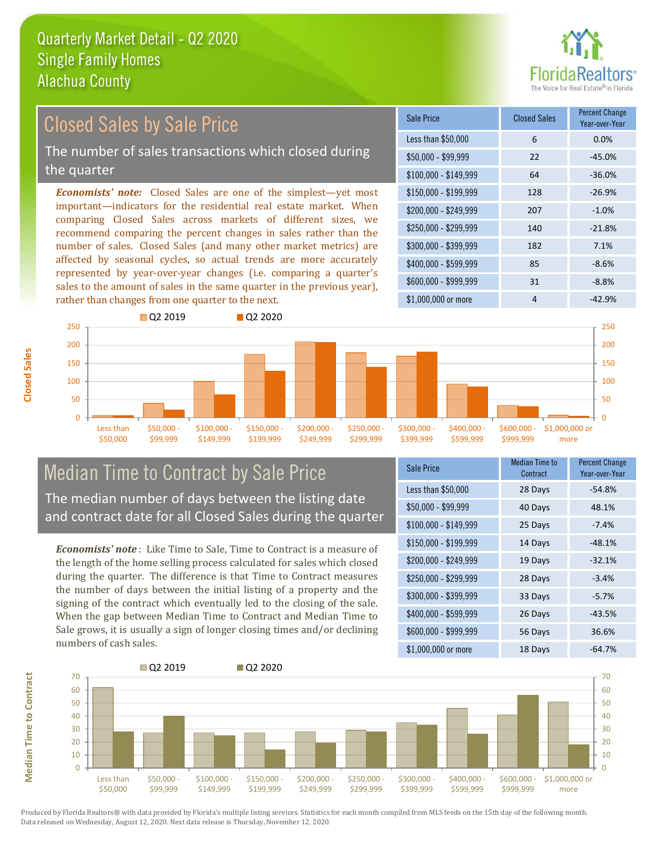

# Closed Sales by Sale Price

The number of sales transactions which closed during the quarter

*Economists' note:* Closed Sales are one of the simplest—yet most important—indicators for the residential real estate market. When comparing Closed Sales across markets of different sizes, we recommend comparing the percent changes in sales rather than the number of sales. Closed Sales (and many other market metrics) are affected by seasonal cycles, so actual trends are more accurately represented by year-over-year changes (i.e. comparing a quarter's sales to the amount of sales in the same quarter in the previous year), rather than changes from one quarter to the next.





### Median Time to Contract by Sale Price The median number of days between the listing date and contract date for all Closed Sales during the quarter

*Economists' note* : Like Time to Sale, Time to Contract is a measure of the length of the home selling process calculated for sales which closed during the quarter. The difference is that Time to Contract measures the number of days between the initial listing of a property and the signing of the contract which eventually led to the closing of the sale. When the gap between Median Time to Contract and Median Time to Sale grows, it is usually a sign of longer closing times and/or declining numbers of cash sales.

| Sale Price            | <b>Median Time to</b><br>Contract | <b>Percent Change</b><br>Year-over-Year |
|-----------------------|-----------------------------------|-----------------------------------------|
| Less than \$50,000    | 28 Days                           | $-54.8%$                                |
| \$50,000 - \$99,999   | 40 Days                           | 48.1%                                   |
| $$100,000 - $149,999$ | 25 Days                           | $-7.4%$                                 |
| $$150,000 - $199,999$ | 14 Days                           | $-48.1%$                                |
| \$200,000 - \$249,999 | 19 Days                           | $-32.1%$                                |
| \$250,000 - \$299,999 | 28 Days                           | $-3.4%$                                 |
| \$300,000 - \$399,999 | 33 Days                           | $-5.7%$                                 |
| \$400,000 - \$599,999 | 26 Days                           | $-43.5%$                                |
| \$600,000 - \$999,999 | 56 Days                           | 36.6%                                   |
| $$1,000,000$ or more  | 18 Days                           | $-64.7%$                                |



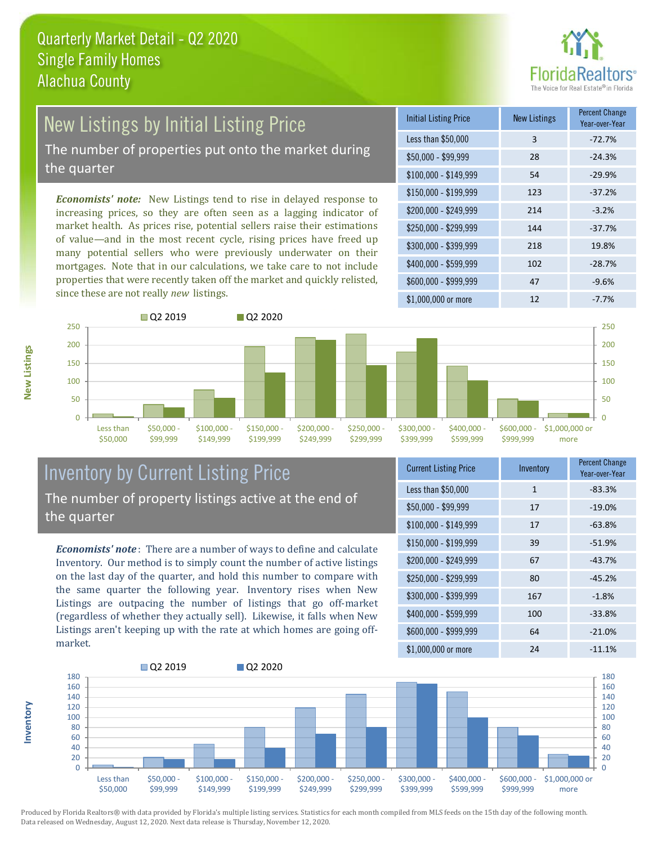

# New Listings by Initial Listing Price

The number of properties put onto the market during the quarter

*Economists' note:* New Listings tend to rise in delayed response to increasing prices, so they are often seen as a lagging indicator of market health. As prices rise, potential sellers raise their estimations of value—and in the most recent cycle, rising prices have freed up many potential sellers who were previously underwater on their mortgages. Note that in our calculations, we take care to not include properties that were recently taken off the market and quickly relisted, since these are not really *new* listings.

| <b>Initial Listing Price</b> | <b>New Listings</b> | <b>Percent Change</b><br>Year-over-Year |
|------------------------------|---------------------|-----------------------------------------|
| Less than \$50,000           | 3                   | $-72.7%$                                |
| \$50,000 - \$99,999          | 28                  | $-24.3%$                                |
| $$100,000 - $149,999$        | 54                  | $-29.9%$                                |
| $$150,000 - $199,999$        | 123                 | $-37.2%$                                |
| \$200,000 - \$249,999        | 214                 | $-3.2%$                                 |
| \$250,000 - \$299,999        | 144                 | $-37.7%$                                |
| \$300,000 - \$399,999        | 218                 | 19.8%                                   |
| \$400,000 - \$599,999        | 102                 | $-28.7%$                                |
| \$600,000 - \$999,999        | 47                  | $-9.6%$                                 |
| \$1,000,000 or more          | 12                  | $-7.7%$                                 |



### Inventory by Current Listing Price The number of property listings active at the end of the quarter

*Economists' note* : There are a number of ways to define and calculate Inventory. Our method is to simply count the number of active listings on the last day of the quarter, and hold this number to compare with the same quarter the following year. Inventory rises when New Listings are outpacing the number of listings that go off-market (regardless of whether they actually sell). Likewise, it falls when New Listings aren't keeping up with the rate at which homes are going offmarket.

| <b>Current Listing Price</b> | Inventory    | Percent Change<br>Year-over-Year |
|------------------------------|--------------|----------------------------------|
| Less than \$50,000           | $\mathbf{1}$ | $-83.3%$                         |
| $$50,000 - $99,999$          | 17           | $-19.0%$                         |
| $$100,000 - $149,999$        | 17           | $-63.8%$                         |
| $$150,000 - $199,999$        | 39           | $-51.9%$                         |
| \$200,000 - \$249,999        | 67           | $-43.7%$                         |
| \$250,000 - \$299,999        | 80           | $-45.2%$                         |
| \$300,000 - \$399,999        | 167          | $-1.8%$                          |
| \$400,000 - \$599,999        | 100          | $-33.8%$                         |
| \$600,000 - \$999,999        | 64           | $-21.0%$                         |
| \$1,000,000 or more          | 24           | $-11.1%$                         |



Produced by Florida Realtors® with data provided by Florida's multiple listing services. Statistics for each month compiled from MLS feeds on the 15th day of the following month. Data released on Wednesday, August 12, 2020. Next data release is Thursday, November 12, 2020.

**Inventory**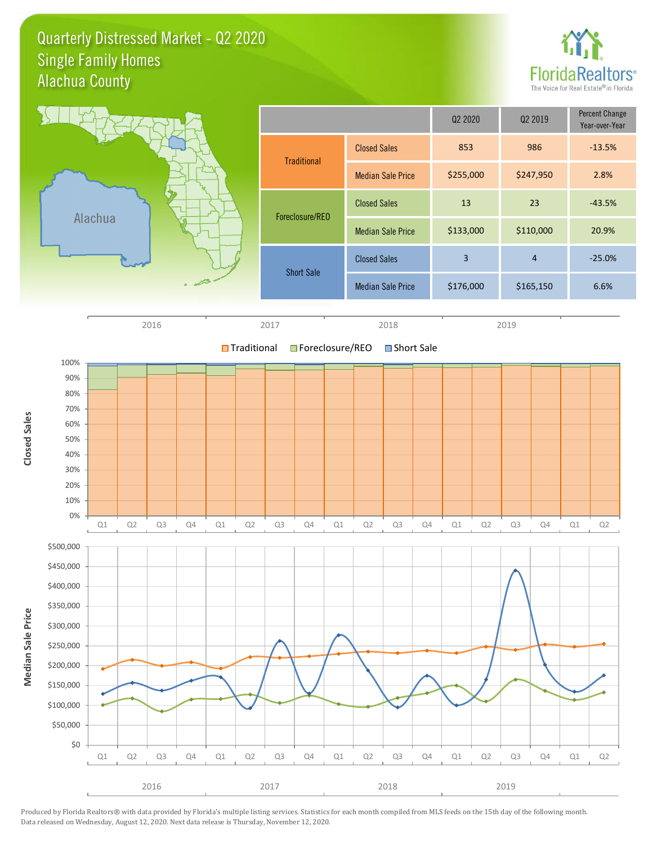### Quarterly Distressed Market - Q2 2020 Alachua County Single Family Homes



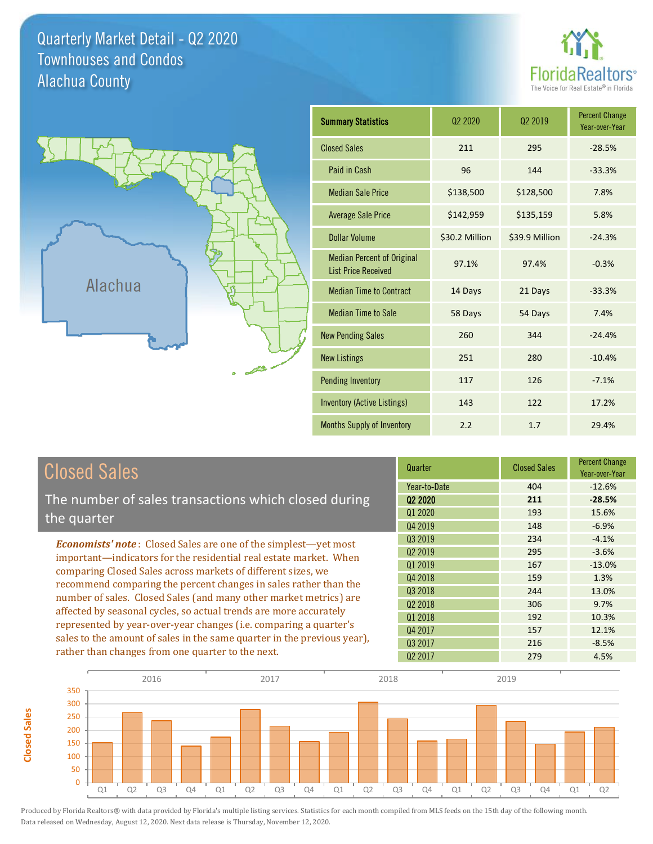Quarterly Market Detail - Q2 2020 Alachua County Townhouses and Condos





| <b>Summary Statistics</b>                                       | 02 2020        |                | <b>Percent Change</b><br>Year-over-Year |
|-----------------------------------------------------------------|----------------|----------------|-----------------------------------------|
| <b>Closed Sales</b>                                             | 211            | 295            | $-28.5%$                                |
| Paid in Cash                                                    | 96             | 144            | $-33.3%$                                |
| <b>Median Sale Price</b>                                        | \$138,500      | \$128,500      | 7.8%                                    |
| <b>Average Sale Price</b>                                       | \$142,959      | \$135,159      | 5.8%                                    |
| <b>Dollar Volume</b>                                            | \$30.2 Million | \$39.9 Million | $-24.3%$                                |
| <b>Median Percent of Original</b><br><b>List Price Received</b> | 97.1%          | 97.4%          | $-0.3%$                                 |
| <b>Median Time to Contract</b>                                  | 14 Days        | 21 Days        | $-33.3%$                                |
| <b>Median Time to Sale</b>                                      | 58 Days        | 54 Days        | 7.4%                                    |
| <b>New Pending Sales</b>                                        | 260            | 344            | $-24.4%$                                |
| <b>New Listings</b>                                             | 251            | 280            | $-10.4%$                                |
| <b>Pending Inventory</b>                                        | 117            | 126            | $-7.1%$                                 |
| <b>Inventory (Active Listings)</b>                              | 143            | 122            | 17.2%                                   |
| Months Supply of Inventory                                      | 2.2            | 1.7            | 29.4%                                   |

| <b>Closed Sales</b>                                                                                                                    | Quarter             | <b>Closed Sales</b> | <b>Percent Change</b><br>Year-over-Year |
|----------------------------------------------------------------------------------------------------------------------------------------|---------------------|---------------------|-----------------------------------------|
|                                                                                                                                        | Year-to-Date        | 404                 | $-12.6%$                                |
| The number of sales transactions which closed during                                                                                   | 02 2020             | 211                 | $-28.5%$                                |
| the quarter                                                                                                                            | Q1 2020             | 193                 | 15.6%                                   |
|                                                                                                                                        | Q4 2019             | 148                 | $-6.9%$                                 |
| <b>Economists' note:</b> Closed Sales are one of the simplest-yet most                                                                 | Q3 2019             | 234                 | $-4.1%$                                 |
| important—indicators for the residential real estate market. When                                                                      | Q <sub>2</sub> 2019 | 295                 | $-3.6%$                                 |
| comparing Closed Sales across markets of different sizes, we                                                                           | 01 2019             | 167                 | $-13.0%$                                |
| recommend comparing the percent changes in sales rather than the                                                                       | Q4 2018             | 159                 | 1.3%                                    |
|                                                                                                                                        | Q3 2018             | 244                 | 13.0%                                   |
| number of sales. Closed Sales (and many other market metrics) are<br>affected by seasonal cycles, so actual trends are more accurately | 02 2018             | 306                 | 9.7%                                    |
|                                                                                                                                        | Q1 2018             | 192                 | 10.3%                                   |
| represented by year-over-year changes (i.e. comparing a quarter's                                                                      | Q4 2017             | 157                 | 12.1%                                   |
| sales to the amount of sales in the same quarter in the previous year),                                                                | 03 2017             | 216                 | $-8.5%$                                 |
| rather than changes from one quarter to the next.                                                                                      | Q <sub>2</sub> 2017 | 279                 | 4.5%                                    |

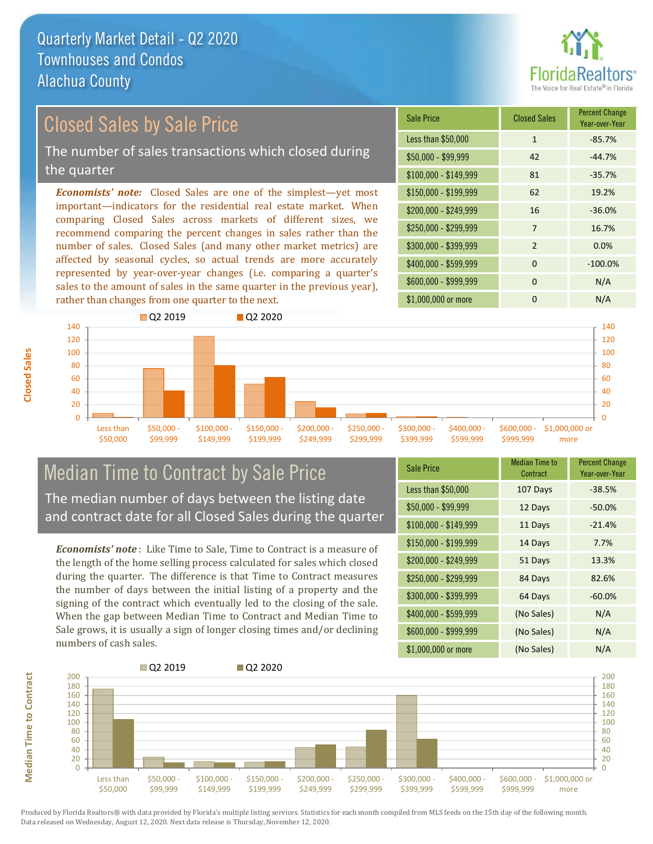

## Closed Sales by Sale Price

The number of sales transactions which closed during the quarter

*Economists' note:* Closed Sales are one of the simplest—yet most important—indicators for the residential real estate market. When comparing Closed Sales across markets of different sizes, we recommend comparing the percent changes in sales rather than the number of sales. Closed Sales (and many other market metrics) are affected by seasonal cycles, so actual trends are more accurately represented by year-over-year changes (i.e. comparing a quarter's sales to the amount of sales in the same quarter in the previous year), rather than changes from one quarter to the next.

| <b>Sale Price</b>     | <b>Closed Sales</b> | <b>Percent Change</b><br>Year-over-Year |
|-----------------------|---------------------|-----------------------------------------|
| Less than \$50,000    | $\mathbf{1}$        | $-85.7%$                                |
| \$50,000 - \$99,999   | 42                  | $-44.7%$                                |
| $$100,000 - $149,999$ | 81                  | $-35.7%$                                |
| $$150,000 - $199,999$ | 62                  | 19.2%                                   |
| \$200,000 - \$249,999 | 16                  | $-36.0%$                                |
| \$250,000 - \$299,999 | 7                   | 16.7%                                   |
| \$300,000 - \$399,999 | $\mathcal{P}$       | 0.0%                                    |
| \$400,000 - \$599,999 | $\Omega$            | $-100.0%$                               |
| \$600,000 - \$999,999 | $\Omega$            | N/A                                     |
| \$1,000,000 or more   | ŋ                   | N/A                                     |



### Median Time to Contract by Sale Price The median number of days between the listing date and contract date for all Closed Sales during the quarter

*Economists' note* : Like Time to Sale, Time to Contract is a measure of the length of the home selling process calculated for sales which closed during the quarter. The difference is that Time to Contract measures the number of days between the initial listing of a property and the signing of the contract which eventually led to the closing of the sale. When the gap between Median Time to Contract and Median Time to Sale grows, it is usually a sign of longer closing times and/or declining numbers of cash sales.

| <b>Sale Price</b>     | <b>Median Time to</b><br>Contract | <b>Percent Change</b><br>Year-over-Year |
|-----------------------|-----------------------------------|-----------------------------------------|
| Less than \$50,000    | 107 Days                          | $-38.5%$                                |
| $$50,000 - $99,999$   | 12 Days                           | $-50.0%$                                |
| $$100,000 - $149,999$ | 11 Days                           | $-21.4%$                                |
| $$150,000 - $199,999$ | 14 Days                           | 7.7%                                    |
| \$200,000 - \$249,999 | 51 Days                           | 13.3%                                   |
| \$250,000 - \$299,999 | 84 Days                           | 82.6%                                   |
| \$300,000 - \$399,999 | 64 Days                           | $-60.0%$                                |
| \$400,000 - \$599,999 | (No Sales)                        | N/A                                     |
| \$600,000 - \$999,999 | (No Sales)                        | N/A                                     |
| \$1,000,000 or more   | (No Sales)                        | N/A                                     |



Produced by Florida Realtors® with data provided by Florida's multiple listing services. Statistics for each month compiled from MLS feeds on the 15th day of the following month. Data released on Wednesday, August 12, 2020. Next data release is Thursday, November 12, 2020.

**Median Time to Contract**

**Median Time to Contract**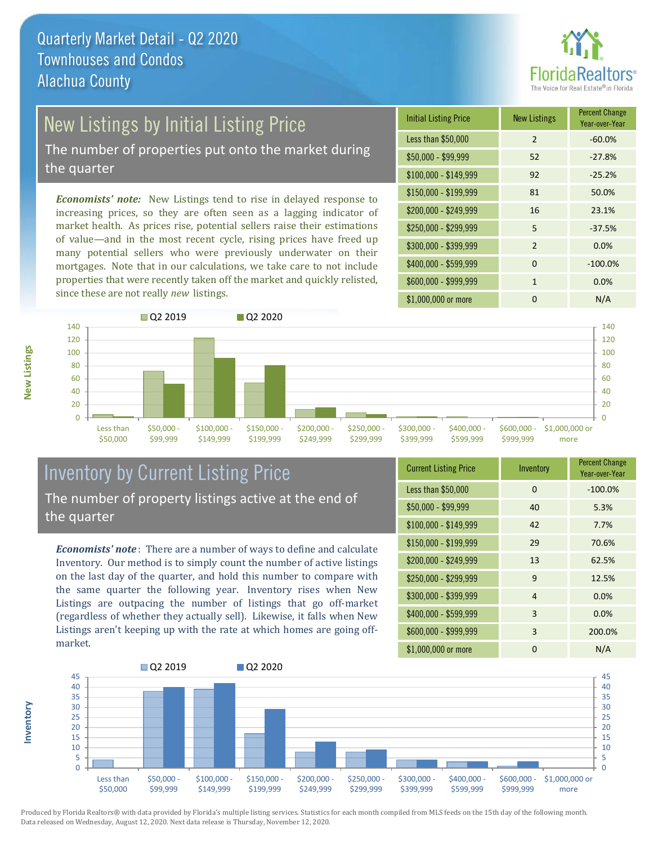

## New Listings by Initial Listing Price

The number of properties put onto the market during the quarter

*Economists' note:* New Listings tend to rise in delayed response to increasing prices, so they are often seen as a lagging indicator of market health. As prices rise, potential sellers raise their estimations of value—and in the most recent cycle, rising prices have freed up many potential sellers who were previously underwater on their mortgages. Note that in our calculations, we take care to not include properties that were recently taken off the market and quickly relisted, since these are not really *new* listings.

| <b>Initial Listing Price</b> | <b>New Listings</b> | <b>Percent Change</b><br>Year-over-Year |
|------------------------------|---------------------|-----------------------------------------|
| Less than \$50,000           | $\mathcal{P}$       | $-60.0%$                                |
| $$50,000 - $99,999$          | 52                  | $-27.8%$                                |
| $$100,000 - $149,999$        | 92                  | $-25.2%$                                |
| $$150,000 - $199,999$        | 81                  | 50.0%                                   |
| \$200,000 - \$249,999        | 16                  | 23.1%                                   |
| \$250,000 - \$299,999        | 5                   | $-37.5%$                                |
| \$300,000 - \$399,999        | $\mathcal{P}$       | 0.0%                                    |
| \$400,000 - \$599,999        | $\Omega$            | $-100.0%$                               |
| \$600,000 - \$999,999        | $\mathbf{1}$        | 0.0%                                    |
| \$1,000,000 or more          | ŋ                   | N/A                                     |



### Inventory by Current Listing Price The number of property listings active at the end of the quarter

*Economists' note* : There are a number of ways to define and calculate Inventory. Our method is to simply count the number of active listings on the last day of the quarter, and hold this number to compare with the same quarter the following year. Inventory rises when New Listings are outpacing the number of listings that go off-market (regardless of whether they actually sell). Likewise, it falls when New Listings aren't keeping up with the rate at which homes are going offmarket.

| <b>Current Listing Price</b> | Inventory | <b>Percent Change</b><br>Year-over-Year |
|------------------------------|-----------|-----------------------------------------|
| Less than \$50,000           | $\Omega$  | $-100.0%$                               |
| $$50,000 - $99,999$          | 40        | 5.3%                                    |
| $$100,000 - $149,999$        | 42        | 7.7%                                    |
| $$150,000 - $199,999$        | 29        | 70.6%                                   |
| \$200,000 - \$249,999        | 13        | 62.5%                                   |
| \$250,000 - \$299,999        | 9         | 12.5%                                   |
| \$300,000 - \$399,999        | 4         | 0.0%                                    |
| \$400,000 - \$599,999        | 3         | 0.0%                                    |
| \$600,000 - \$999,999        | 3         | 200.0%                                  |
| \$1,000,000 or more          | 0         | N/A                                     |



Produced by Florida Realtors® with data provided by Florida's multiple listing services. Statistics for each month compiled from MLS feeds on the 15th day of the following month. Data released on Wednesday, August 12, 2020. Next data release is Thursday, November 12, 2020.

**Inventory**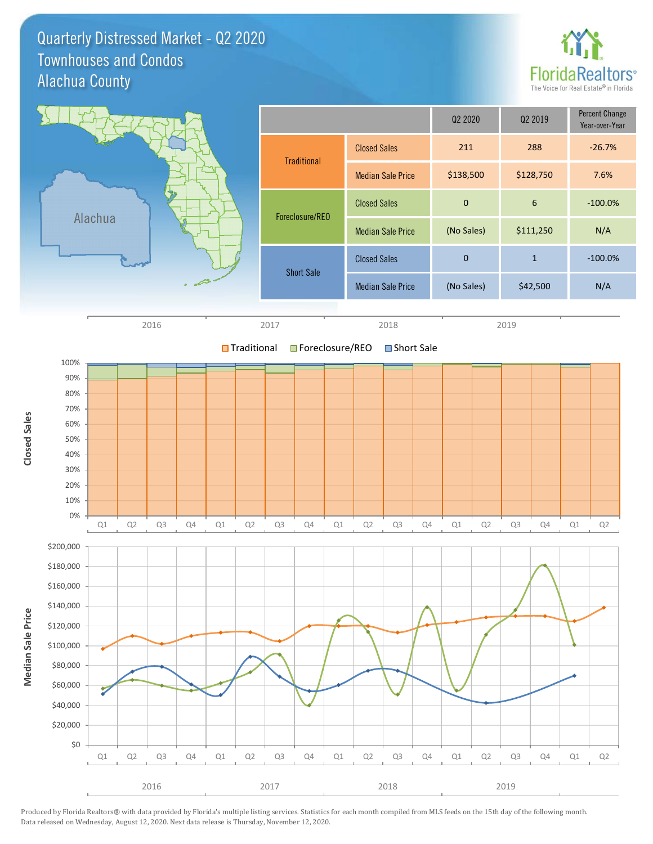Quarterly Distressed Market - Q2 2020 Alachua County Townhouses and Condos



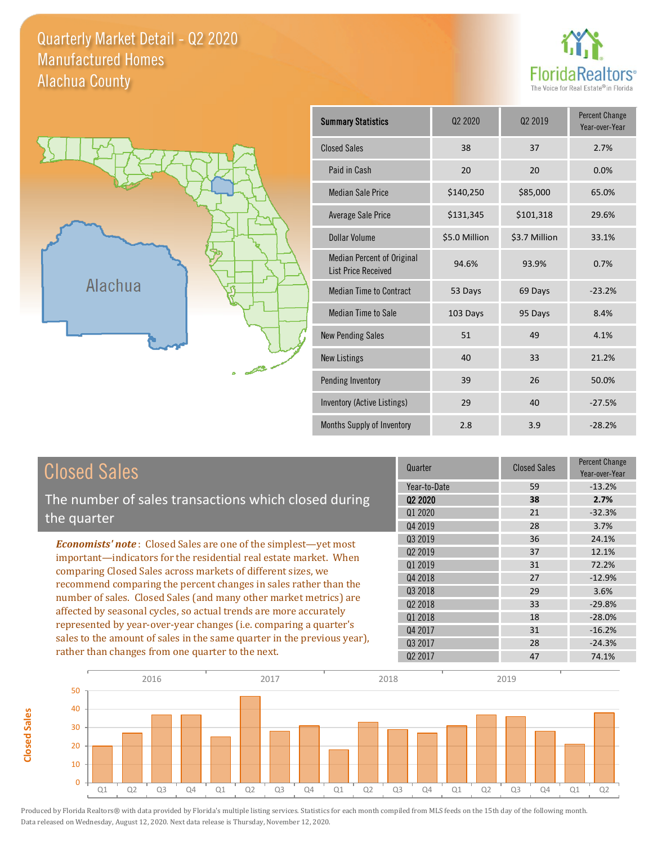### Quarterly Market Detail - Q2 2020 Alachua County Manufactured Homes





**Closed Sales**

**Closed Sales** 

| <b>Summary Statistics</b>                                       | Q <sub>2</sub> 20 <sub>20</sub> | Q <sub>2</sub> 2019 | <b>Percent Change</b><br>Year-over-Year |
|-----------------------------------------------------------------|---------------------------------|---------------------|-----------------------------------------|
| <b>Closed Sales</b>                                             | 38                              | 37                  | 2.7%                                    |
| Paid in Cash                                                    | 20                              | 20                  | 0.0%                                    |
| <b>Median Sale Price</b>                                        | \$140,250                       | \$85,000            | 65.0%                                   |
| <b>Average Sale Price</b>                                       | \$131,345                       | \$101,318           | 29.6%                                   |
| Dollar Volume                                                   | \$5.0 Million                   | \$3.7 Million       | 33.1%                                   |
| <b>Median Percent of Original</b><br><b>List Price Received</b> | 94.6%                           | 93.9%               | 0.7%                                    |
| <b>Median Time to Contract</b>                                  | 53 Days                         | 69 Days             | $-23.2%$                                |
| <b>Median Time to Sale</b>                                      | 103 Days                        | 95 Days             | 8.4%                                    |
| <b>New Pending Sales</b>                                        | 51                              | 49                  | 4.1%                                    |
| <b>New Listings</b>                                             | 40                              | 33                  | 21.2%                                   |
| Pending Inventory                                               | 39                              | 26                  | 50.0%                                   |
| Inventory (Active Listings)                                     | 29                              | 40                  | $-27.5%$                                |
| Months Supply of Inventory                                      | 2.8                             | 3.9                 | $-28.2%$                                |

| <b>Closed Sales</b>                                                     | Quarter             | <b>Closed Sales</b> | <b>Percent Change</b><br>Year-over-Year |
|-------------------------------------------------------------------------|---------------------|---------------------|-----------------------------------------|
|                                                                         | Year-to-Date        | 59                  | $-13.2%$                                |
| The number of sales transactions which closed during                    | 02 2020             | 38                  | 2.7%                                    |
| the quarter                                                             | Q1 2020             | 21                  | $-32.3%$                                |
|                                                                         | Q4 2019             | 28                  | 3.7%                                    |
| <b>Economists' note:</b> Closed Sales are one of the simplest-yet most  | Q3 2019             | 36                  | 24.1%                                   |
| important-indicators for the residential real estate market. When       | Q <sub>2</sub> 2019 | 37                  | 12.1%                                   |
| comparing Closed Sales across markets of different sizes, we            | 01 2019             | 31                  | 72.2%                                   |
| recommend comparing the percent changes in sales rather than the        | Q4 2018             | 27                  | $-12.9%$                                |
|                                                                         | Q3 2018             | 29                  | 3.6%                                    |
| number of sales. Closed Sales (and many other market metrics) are       | 02 2018             | 33                  | $-29.8%$                                |
| affected by seasonal cycles, so actual trends are more accurately       | Q1 2018             | 18                  | $-28.0\%$                               |
| represented by year-over-year changes (i.e. comparing a quarter's       | Q4 2017             | 31                  | $-16.2%$                                |
| sales to the amount of sales in the same quarter in the previous year), | 03 2017             | 28                  | $-24.3%$                                |
| rather than changes from one quarter to the next.                       | Q <sub>2</sub> 2017 | 47                  | 74.1%                                   |

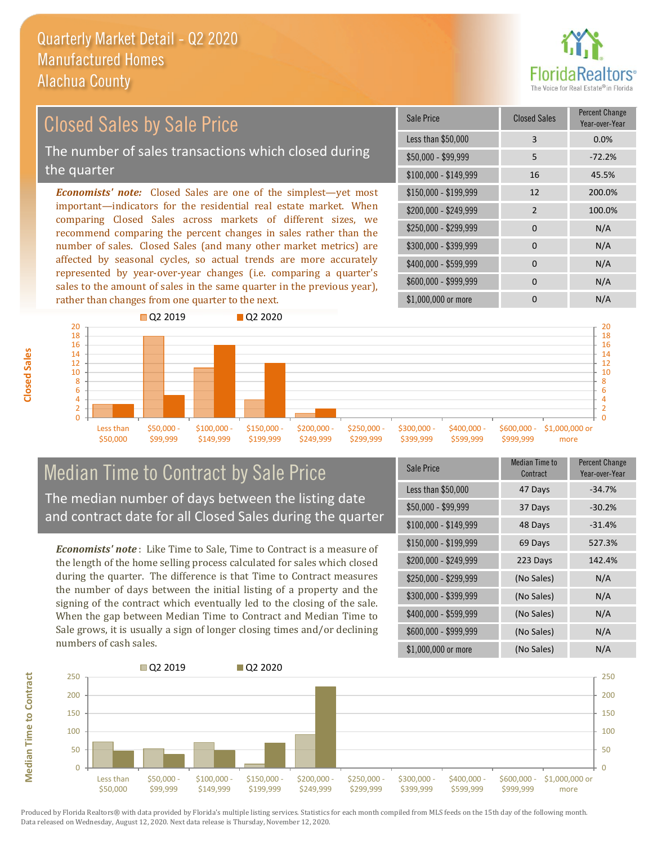

## Closed Sales by Sale Price

The number of sales transactions which closed during the quarter

*Economists' note:* Closed Sales are one of the simplest—yet most important—indicators for the residential real estate market. When comparing Closed Sales across markets of different sizes, we recommend comparing the percent changes in sales rather than the number of sales. Closed Sales (and many other market metrics) are affected by seasonal cycles, so actual trends are more accurately represented by year-over-year changes (i.e. comparing a quarter's sales to the amount of sales in the same quarter in the previous year), rather than changes from one quarter to the next.

| <b>Sale Price</b>     | <b>Closed Sales</b> | <b>Percent Change</b><br>Year-over-Year |
|-----------------------|---------------------|-----------------------------------------|
| Less than \$50,000    | 3                   | 0.0%                                    |
| \$50,000 - \$99,999   | 5                   | $-72.2%$                                |
| $$100,000 - $149,999$ | 16                  | 45.5%                                   |
| $$150,000 - $199,999$ | 12                  | 200.0%                                  |
| \$200,000 - \$249,999 | $\overline{2}$      | 100.0%                                  |
| \$250,000 - \$299,999 | $\Omega$            | N/A                                     |
| \$300,000 - \$399,999 | 0                   | N/A                                     |
| \$400,000 - \$599,999 | 0                   | N/A                                     |
| \$600,000 - \$999,999 | $\Omega$            | N/A                                     |
| \$1,000,000 or more   | ი                   | N/A                                     |



### Median Time to Contract by Sale Price The median number of days between the listing date and contract date for all Closed Sales during the quarter

*Economists' note* : Like Time to Sale, Time to Contract is a measure of the length of the home selling process calculated for sales which closed during the quarter. The difference is that Time to Contract measures the number of days between the initial listing of a property and the signing of the contract which eventually led to the closing of the sale. When the gap between Median Time to Contract and Median Time to Sale grows, it is usually a sign of longer closing times and/or declining numbers of cash sales.

| Sale Price            | Median Time to<br>Contract | <b>Percent Change</b><br>Year-over-Year |
|-----------------------|----------------------------|-----------------------------------------|
| Less than \$50,000    | 47 Days                    | $-34.7%$                                |
| $$50,000 - $99,999$   | 37 Days                    | $-30.2%$                                |
| $$100,000 - $149,999$ | 48 Days                    | $-31.4%$                                |
| $$150,000 - $199,999$ | 69 Days                    | 527.3%                                  |
| \$200,000 - \$249,999 | 223 Days                   | 142.4%                                  |
| \$250,000 - \$299,999 | (No Sales)                 | N/A                                     |
| \$300,000 - \$399,999 | (No Sales)                 | N/A                                     |
| \$400,000 - \$599,999 | (No Sales)                 | N/A                                     |
| \$600,000 - \$999,999 | (No Sales)                 | N/A                                     |
| \$1,000,000 or more   | (No Sales)                 | N/A                                     |



Produced by Florida Realtors® with data provided by Florida's multiple listing services. Statistics for each month compiled from MLS feeds on the 15th day of the following month. Data released on Wednesday, August 12, 2020. Next data release is Thursday, November 12, 2020.

**Median Time to Contract**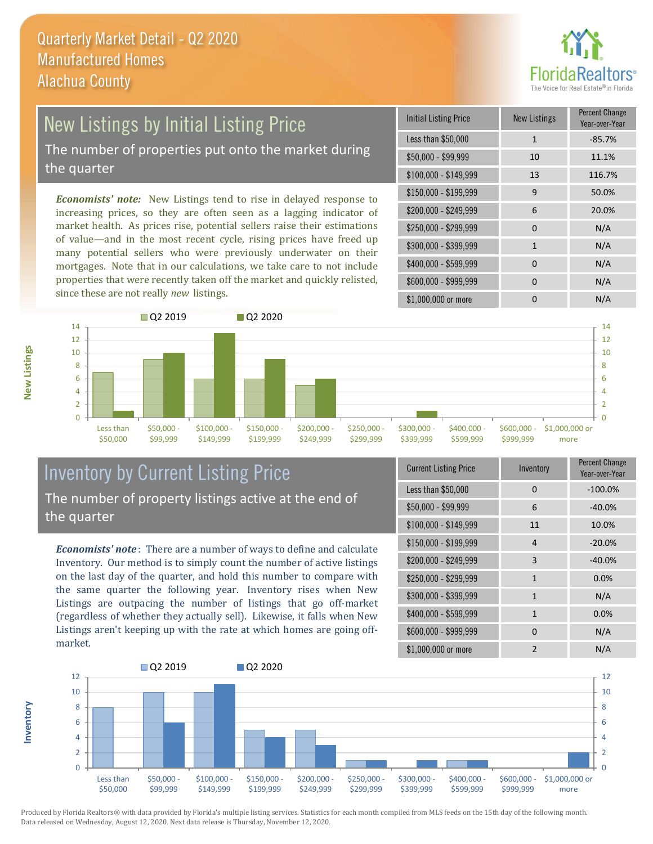

# New Listings by Initial Listing Price

The number of properties put onto the market during the quarter

*Economists' note:* New Listings tend to rise in delayed response to increasing prices, so they are often seen as a lagging indicator of market health. As prices rise, potential sellers raise their estimations of value—and in the most recent cycle, rising prices have freed up many potential sellers who were previously underwater on their mortgages. Note that in our calculations, we take care to not include properties that were recently taken off the market and quickly relisted, since these are not really *new* listings.

| <b>Initial Listing Price</b> | <b>New Listings</b> | <b>Percent Change</b><br>Year-over-Year |
|------------------------------|---------------------|-----------------------------------------|
| Less than \$50,000           | $\mathbf{1}$        | $-85.7%$                                |
| \$50,000 - \$99,999          | 10                  | 11.1%                                   |
| $$100,000 - $149,999$        | 13                  | 116.7%                                  |
| \$150,000 - \$199,999        | 9                   | 50.0%                                   |
| \$200,000 - \$249,999        | 6                   | 20.0%                                   |
| \$250,000 - \$299,999        | 0                   | N/A                                     |
| \$300,000 - \$399,999        | $\mathbf{1}$        | N/A                                     |
| \$400,000 - \$599,999        | $\Omega$            | N/A                                     |
| \$600,000 - \$999,999        | $\Omega$            | N/A                                     |
| \$1,000,000 or more          | ი                   | N/A                                     |



### Inventory by Current Listing Price The number of property listings active at the end of the quarter

*Economists' note* : There are a number of ways to define and calculate Inventory. Our method is to simply count the number of active listings on the last day of the quarter, and hold this number to compare with the same quarter the following year. Inventory rises when New Listings are outpacing the number of listings that go off-market (regardless of whether they actually sell). Likewise, it falls when New Listings aren't keeping up with the rate at which homes are going offmarket.

|  | <b>Current Listing Price</b> | Inventory      | Percent Change<br>Year-over-Year |
|--|------------------------------|----------------|----------------------------------|
|  | Less than \$50,000           | 0              | $-100.0%$                        |
|  | $$50,000 - $99,999$          | 6              | $-40.0%$                         |
|  | $$100,000 - $149,999$        | 11             | 10.0%                            |
|  | $$150,000 - $199,999$        | 4              | $-20.0%$                         |
|  | \$200,000 - \$249,999        | 3              | $-40.0%$                         |
|  | \$250,000 - \$299,999        | $\mathbf{1}$   | 0.0%                             |
|  | \$300,000 - \$399,999        | $\mathbf{1}$   | N/A                              |
|  | \$400,000 - \$599,999        | $\mathbf{1}$   | 0.0%                             |
|  | \$600,000 - \$999,999        | 0              | N/A                              |
|  | \$1,000,000 or more          | $\mathfrak{p}$ | N/A                              |



Produced by Florida Realtors® with data provided by Florida's multiple listing services. Statistics for each month compiled from MLS feeds on the 15th day of the following month. Data released on Wednesday, August 12, 2020. Next data release is Thursday, November 12, 2020.

**Inventory**